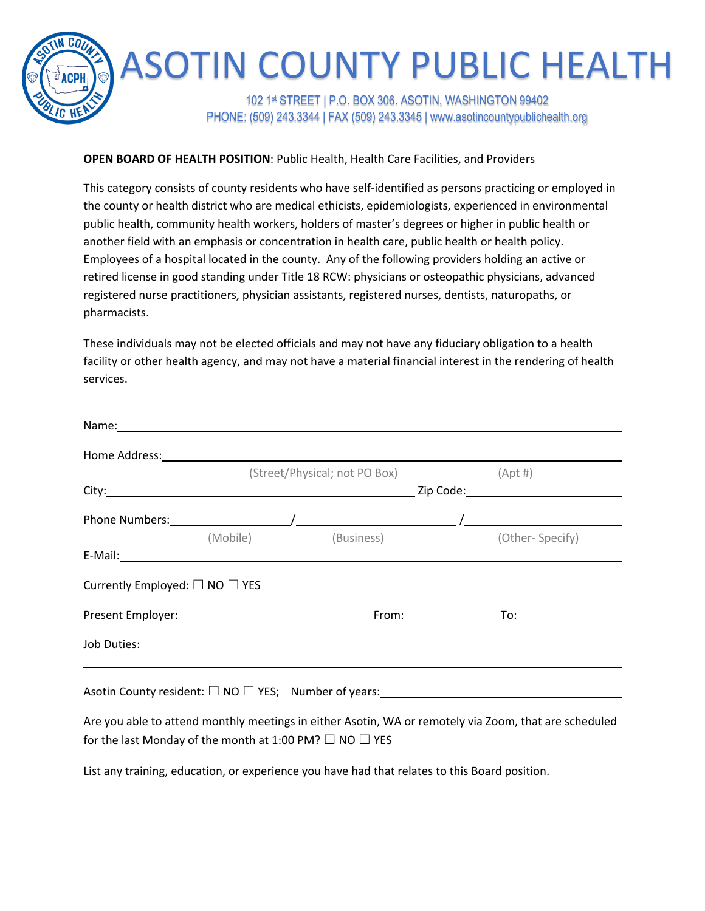

## **OPEN BOARD OF HEALTH POSITION**: Public Health, Health Care Facilities, and Providers

This category consists of county residents who have self-identified as persons practicing or employed in the county or health district who are medical ethicists, epidemiologists, experienced in environmental public health, community health workers, holders of master's degrees or higher in public health or another field with an emphasis or concentration in health care, public health or health policy. Employees of a hospital located in the county. Any of the following providers holding an active or retired license in good standing under Title 18 RCW: physicians or osteopathic physicians, advanced registered nurse practitioners, physician assistants, registered nurses, dentists, naturopaths, or pharmacists.

These individuals may not be elected officials and may not have any fiduciary obligation to a health facility or other health agency, and may not have a material financial interest in the rendering of health services.

|                                          |                                                                   | Name: 1990 - 1990 - 1990 - 1990 - 1991 - 1992 - 1993 - 1994 - 1994 - 1994 - 1995 - 1996 - 1997 - 199                                                                                                                           |            |
|------------------------------------------|-------------------------------------------------------------------|--------------------------------------------------------------------------------------------------------------------------------------------------------------------------------------------------------------------------------|------------|
|                                          |                                                                   |                                                                                                                                                                                                                                |            |
|                                          |                                                                   | (Street/Physical; not PO Box)                                                                                                                                                                                                  | $(Apt \#)$ |
|                                          |                                                                   |                                                                                                                                                                                                                                |            |
|                                          |                                                                   |                                                                                                                                                                                                                                |            |
|                                          |                                                                   | (Mobile) (Business) (Other-Specify)                                                                                                                                                                                            |            |
|                                          |                                                                   |                                                                                                                                                                                                                                |            |
| Currently Employed: $\Box$ NO $\Box$ YES |                                                                   |                                                                                                                                                                                                                                |            |
|                                          |                                                                   |                                                                                                                                                                                                                                |            |
|                                          |                                                                   | Job Duties: and the contract of the contract of the contract of the contract of the contract of the contract of the contract of the contract of the contract of the contract of the contract of the contract of the contract o |            |
|                                          |                                                                   | <u> 1989 - Andrea Andrew Maria (h. 1989).</u><br>Asotin County resident: $\square$ NO $\square$ YES; Number of years: ______________________                                                                                   |            |
|                                          |                                                                   | Are you able to attend monthly meetings in either Asotin, WA or remotely via Zoom, that are scheduled                                                                                                                          |            |
|                                          | for the last Monday of the month at 1:00 PM? $\Box$ NO $\Box$ YES |                                                                                                                                                                                                                                |            |

List any training, education, or experience you have had that relates to this Board position.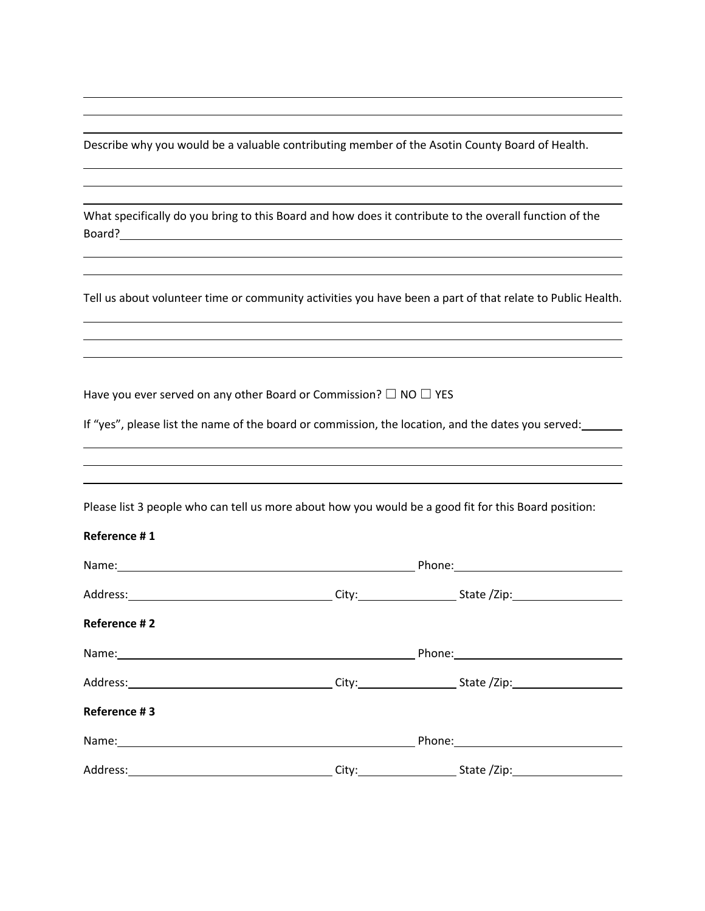Describe why you would be a valuable contributing member of the Asotin County Board of Health.

| What specifically do you bring to this Board and how does it contribute to the overall function of the |  |
|--------------------------------------------------------------------------------------------------------|--|
| Board?                                                                                                 |  |

Tell us about volunteer time or community activities you have been a part of that relate to Public Health.

Have you ever served on any other Board or Commission?  $\Box$  NO  $\Box$  YES

If "yes", please list the name of the board or commission, the location, and the dates you served:

| Please list 3 people who can tell us more about how you would be a good fit for this Board position: |  |  |  |
|------------------------------------------------------------------------------------------------------|--|--|--|
| Reference #1                                                                                         |  |  |  |
|                                                                                                      |  |  |  |
|                                                                                                      |  |  |  |
| <b>Reference #2</b>                                                                                  |  |  |  |
|                                                                                                      |  |  |  |
|                                                                                                      |  |  |  |
| <b>Reference #3</b>                                                                                  |  |  |  |
|                                                                                                      |  |  |  |
|                                                                                                      |  |  |  |
|                                                                                                      |  |  |  |